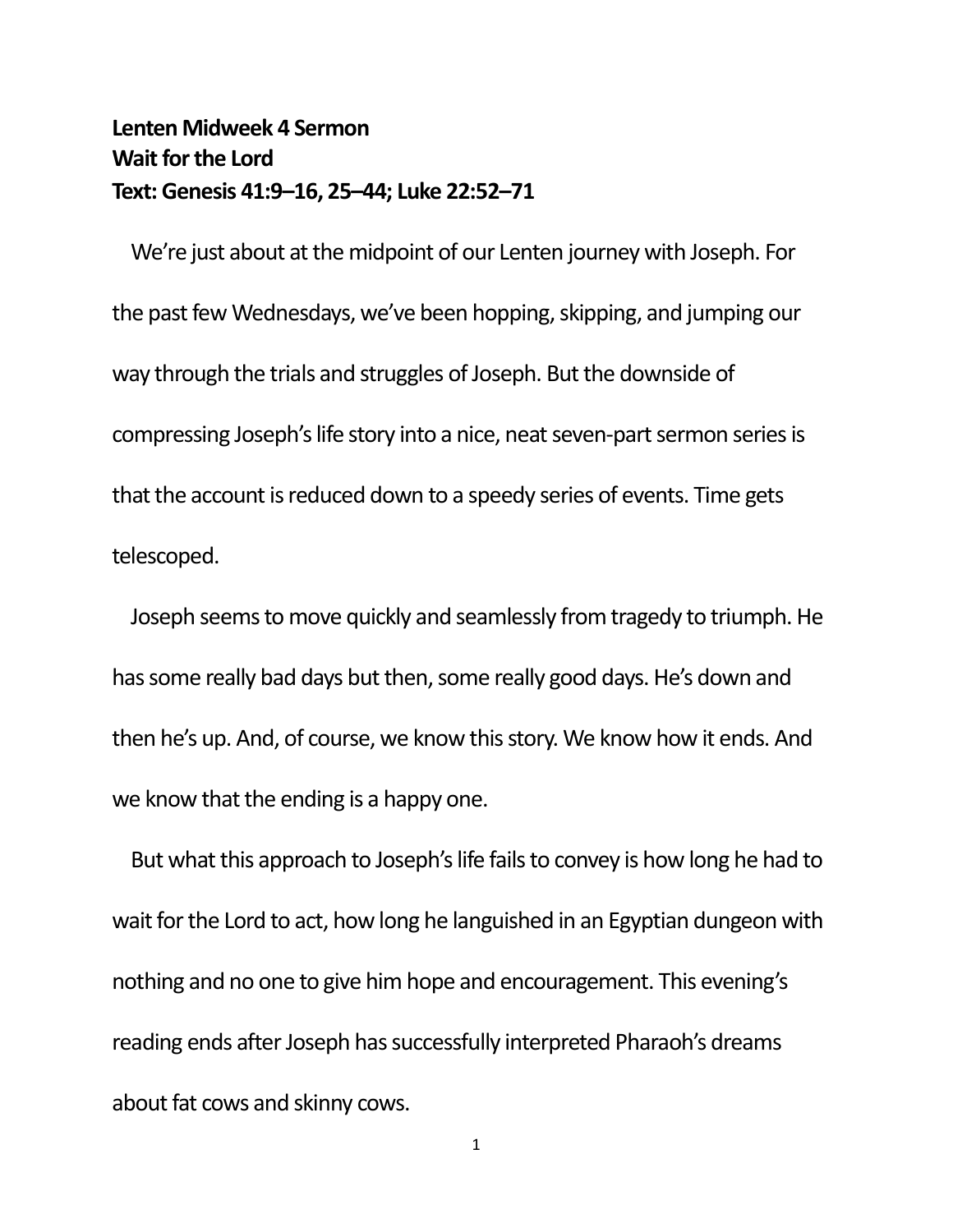## **Lenten Midweek 4 Sermon Wait for the Lord Text: Genesis 41:9–16, 25–44; Luke 22:52–71**

We're just about at the midpoint of our Lenten journey with Joseph. For the past few Wednesdays, we've been hopping, skipping, and jumping our way through the trials and struggles of Joseph. But the downside of compressing Joseph's life story into a nice, neat seven-part sermon series is that the account is reduced down to a speedy series of events. Time gets telescoped.

Joseph seems to move quickly and seamlessly from tragedy to triumph. He has some really bad days but then, some really good days. He's down and then he's up. And, of course, we know this story. We know how it ends. And we know that the ending is a happy one.

But what this approach to Joseph's life fails to convey is how long he had to wait for the Lord to act, how long he languished in an Egyptian dungeon with nothing and no one to give him hope and encouragement. This evening's reading ends after Joseph has successfully interpreted Pharaoh's dreams about fat cows and skinny cows.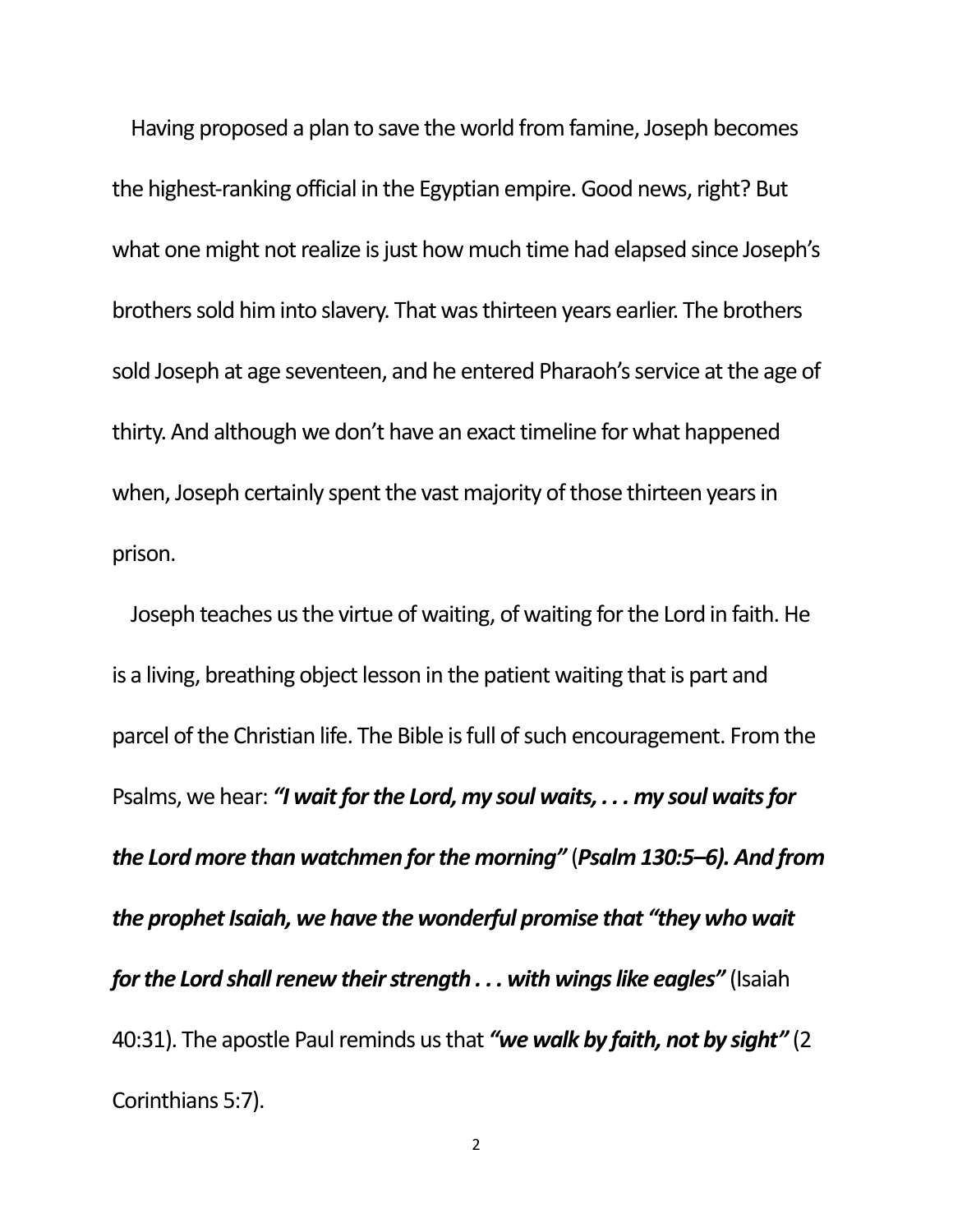Having proposed a plan to save the world from famine, Joseph becomes the highest-ranking official in the Egyptian empire. Good news, right? But what one might not realize is just how much time had elapsed since Joseph's brothers sold him into slavery. That was thirteen years earlier. The brothers sold Joseph at age seventeen, and he entered Pharaoh's service at the age of thirty. And although we don't have an exact timeline for what happened when, Joseph certainly spent the vast majority of those thirteen years in prison.

Joseph teaches us the virtue of waiting, of waiting for the Lord in faith. He is a living, breathing object lesson in the patient waiting that is part and parcel of the Christian life. The Bible is full of such encouragement. From the Psalms, we hear: *"I wait for the Lord, my soul waits, . . . my soul waits for the Lord more than watchmen for the morning"* (*Psalm 130:5–6). And from the prophet Isaiah, we have the wonderful promise that "they who wait for the Lord shall renew their strength . . . with wings like eagles"* (Isaiah 40:31). The apostle Paul reminds us that *"we walk by faith, not by sight"* (2 Corinthians 5:7).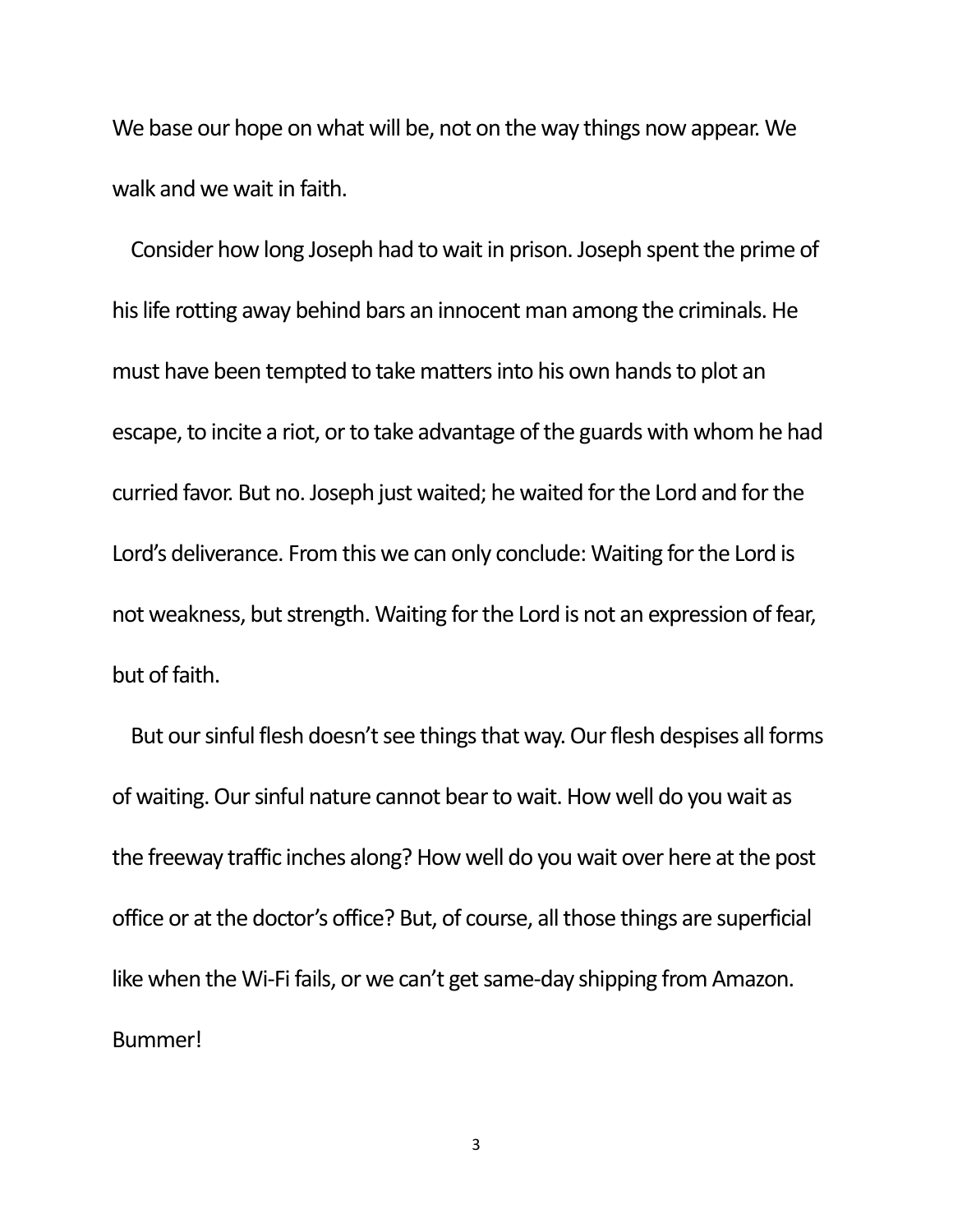We base our hope on what will be, not on the way things now appear. We walk and we wait in faith.

Consider how long Joseph had to wait in prison. Joseph spent the prime of his life rotting away behind bars an innocent man among the criminals. He must have been tempted to take matters into his own hands to plot an escape, to incite a riot, or to take advantage of the guards with whom he had curried favor. But no. Joseph just waited; he waited for the Lord and for the Lord's deliverance. From this we can only conclude: Waiting for the Lord is not weakness, but strength. Waiting for the Lord is not an expression of fear, but of faith.

But our sinful flesh doesn't see things that way. Our flesh despises all forms of waiting. Our sinful nature cannot bear to wait. How well do you wait as the freeway traffic inches along? How well do you wait over here at the post office or at the doctor's office? But, of course, all those things are superficial like when the Wi-Fi fails, or we can't get same-day shipping from Amazon. Bummer!

3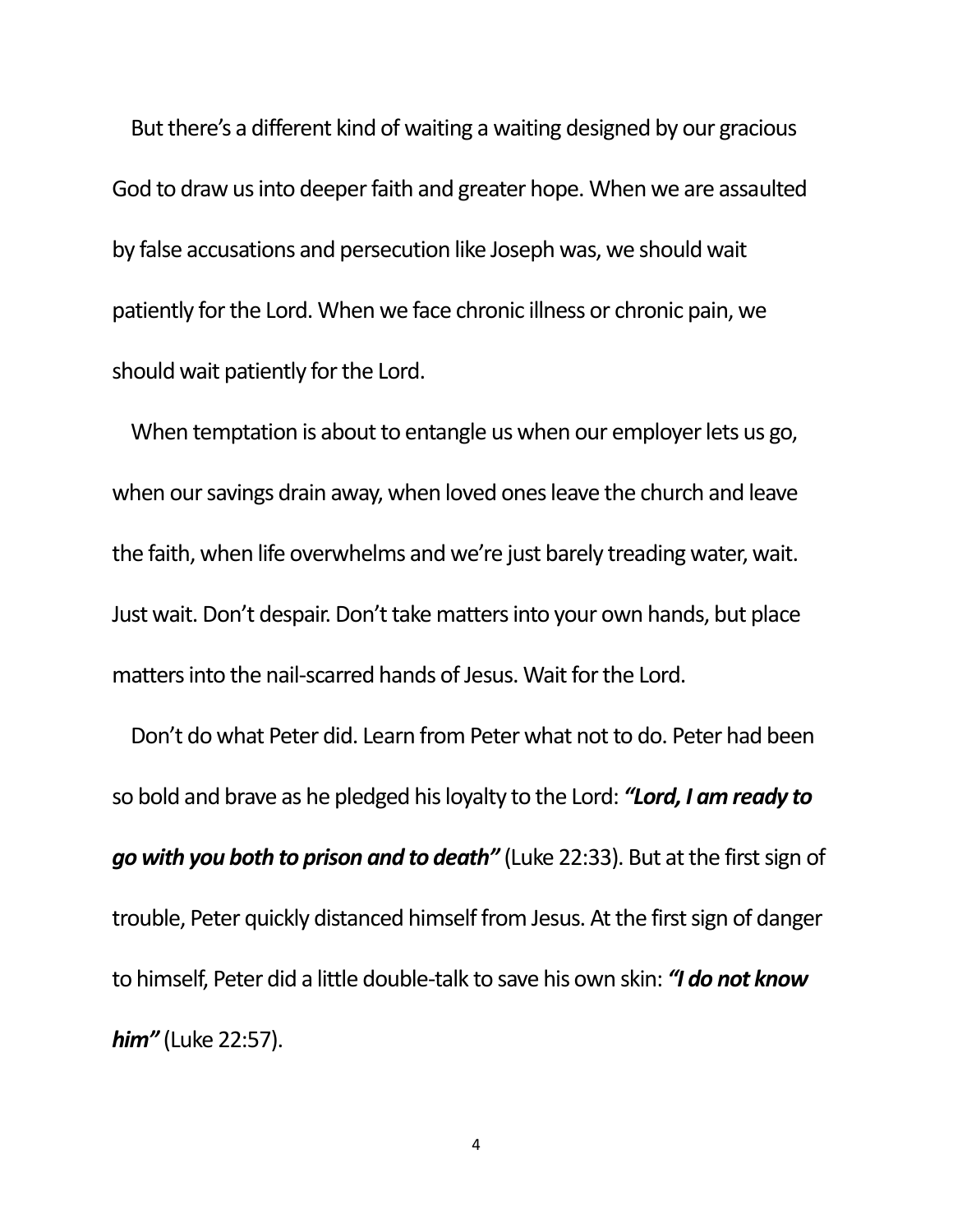But there's a different kind of waiting a waiting designed by our gracious God to draw us into deeper faith and greater hope. When we are assaulted by false accusations and persecution like Joseph was, we should wait patiently for the Lord. When we face chronic illness or chronic pain, we should wait patiently for the Lord.

When temptation is about to entangle us when our employer lets us go, when our savings drain away, when loved ones leave the church and leave the faith, when life overwhelms and we're just barely treading water, wait. Just wait. Don't despair. Don't take matters into your own hands, but place matters into the nail-scarred hands of Jesus. Wait for the Lord.

Don't do what Peter did. Learn from Peter what not to do. Peter had been so bold and brave as he pledged his loyalty to the Lord: *"Lord, I am ready to go with you both to prison and to death"* (Luke 22:33). But at the first sign of trouble, Peter quickly distanced himself from Jesus. At the first sign of danger to himself, Peter did a little double-talk to save his own skin: *"I do not know him"* (Luke 22:57).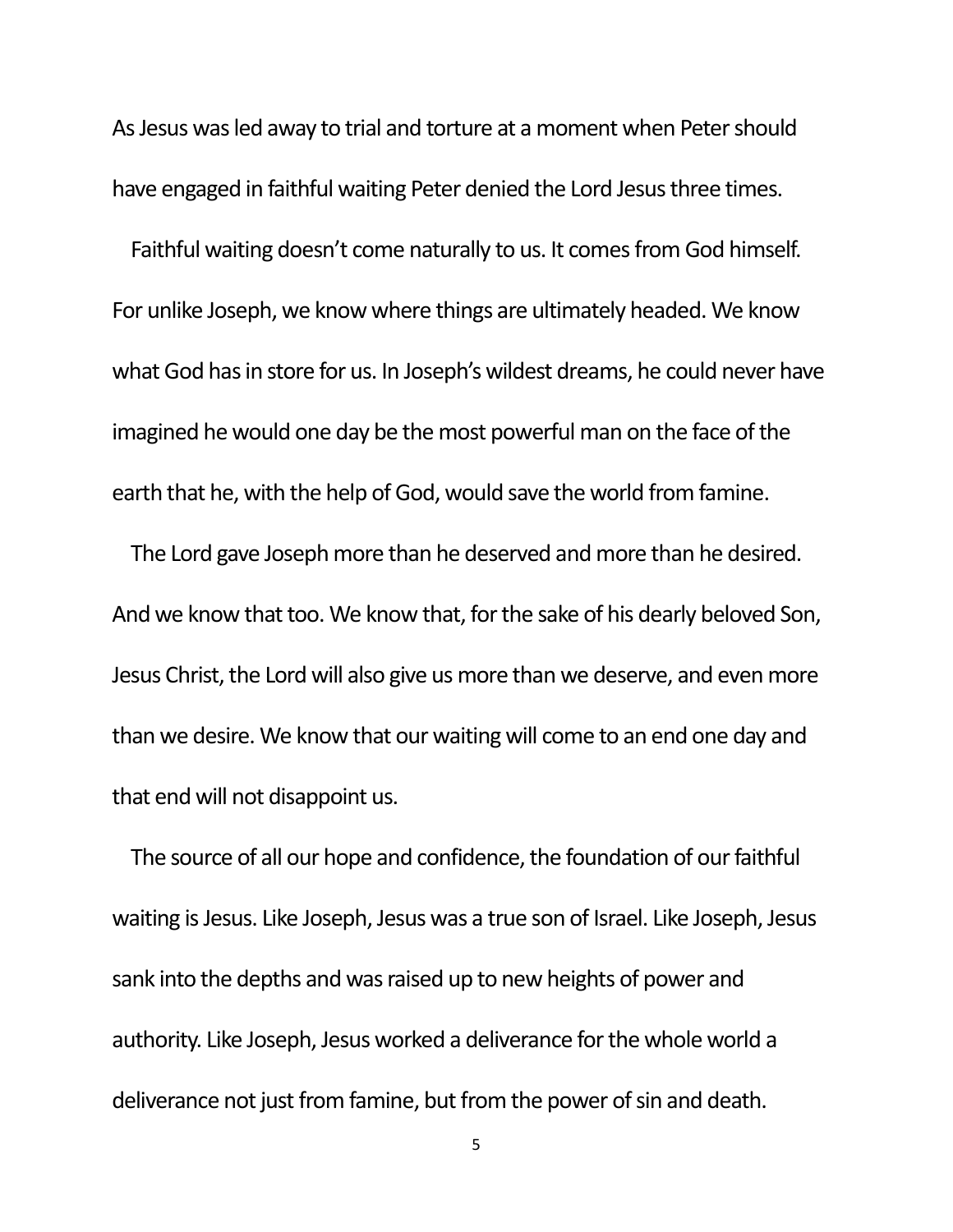As Jesus was led away to trial and torture at a moment when Peter should have engaged in faithful waiting Peter denied the Lord Jesus three times.

Faithful waiting doesn't come naturally to us. It comes from God himself. For unlike Joseph, we know where things are ultimately headed. We know what God has in store for us. In Joseph's wildest dreams, he could never have imagined he would one day be the most powerful man on the face of the earth that he, with the help of God, would save the world from famine.

The Lord gave Joseph more than he deserved and more than he desired. And we know that too. We know that, for the sake of his dearly beloved Son, Jesus Christ, the Lord will also give us more than we deserve, and even more than we desire. We know that our waiting will come to an end one day and that end will not disappoint us.

The source of all our hope and confidence, the foundation of our faithful waiting is Jesus. Like Joseph, Jesus was a true son of Israel. Like Joseph, Jesus sank into the depths and was raised up to new heights of power and authority. Like Joseph, Jesus worked a deliverance for the whole world a deliverance not just from famine, but from the power of sin and death.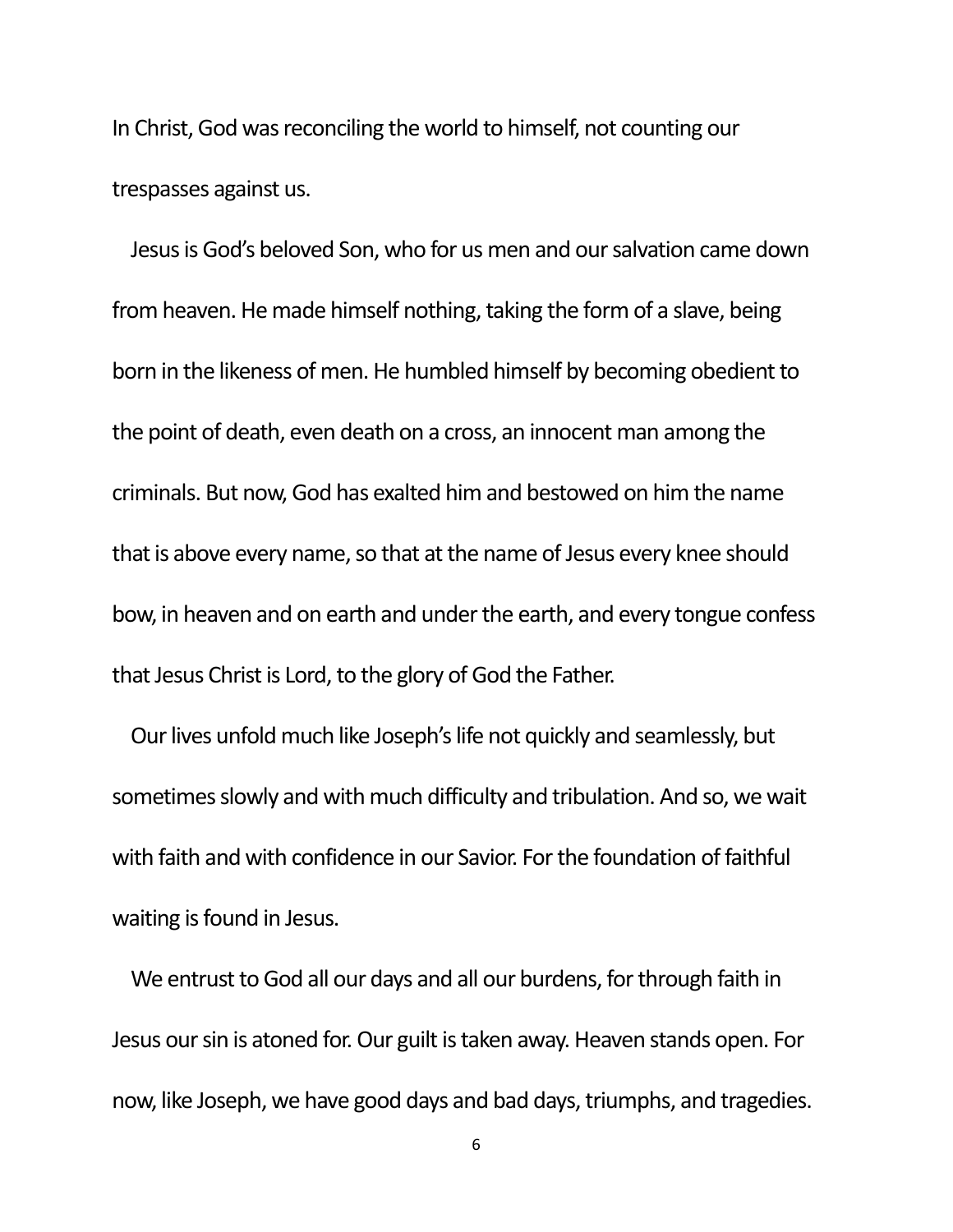In Christ, God was reconciling the world to himself, not counting our trespasses against us.

Jesus is God's beloved Son, who for us men and our salvation came down from heaven. He made himself nothing, taking the form of a slave, being born in the likeness of men. He humbled himself by becoming obedient to the point of death, even death on a cross, an innocent man among the criminals. But now, God has exalted him and bestowed on him the name that is above every name, so that at the name of Jesus every knee should bow, in heaven and on earth and under the earth, and every tongue confess that Jesus Christ is Lord, to the glory of God the Father.

Our lives unfold much like Joseph's life not quickly and seamlessly, but sometimes slowly and with much difficulty and tribulation. And so, we wait with faith and with confidence in our Savior. For the foundation of faithful waiting is found in Jesus.

We entrust to God all our days and all our burdens, for through faith in Jesus our sin is atoned for. Our guilt is taken away. Heaven stands open. For now, like Joseph, we have good days and bad days, triumphs, and tragedies.